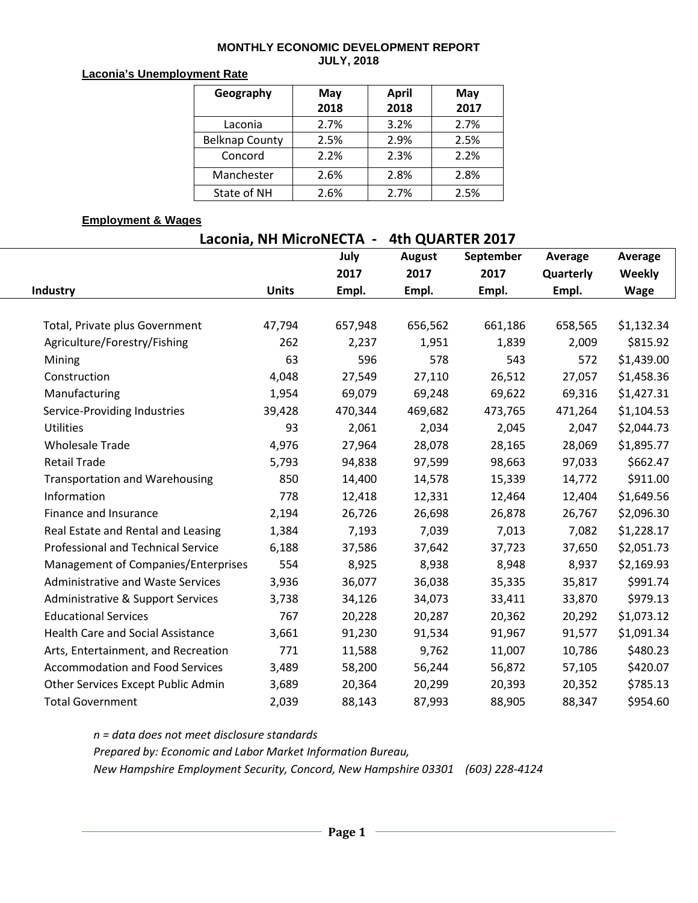## **MONTHLY ECONOMIC DEVELOPMENT REPORT JULY, 2018**

## **Laconia's Unemployment Rate**

| Geography             | May  | <b>April</b> | May  |  |  |
|-----------------------|------|--------------|------|--|--|
|                       | 2018 | 2018         | 2017 |  |  |
| Laconia               | 2.7% | 3.2%         | 2.7% |  |  |
| <b>Belknap County</b> | 2.5% | 2.9%         | 2.5% |  |  |
| Concord               | 2.2% | 2.3%         | 2.2% |  |  |
| Manchester            | 2.6% | 2.8%         | 2.8% |  |  |
| State of NH           | 2.6% | 2.7%         | 2.5% |  |  |

## **Employment & Wages**

| Laconia, NH MicroNECTA -                 | 4th QUARTER 2017 |         |               |           |           |            |  |
|------------------------------------------|------------------|---------|---------------|-----------|-----------|------------|--|
|                                          |                  | July    | <b>August</b> | September | Average   | Average    |  |
|                                          |                  | 2017    | 2017          | 2017      | Quarterly | Weekly     |  |
| Industry                                 | <b>Units</b>     | Empl.   | Empl.         | Empl.     | Empl.     | Wage       |  |
|                                          |                  |         |               |           |           |            |  |
| Total, Private plus Government           | 47,794           | 657,948 | 656,562       | 661,186   | 658,565   | \$1,132.34 |  |
| Agriculture/Forestry/Fishing             | 262              | 2,237   | 1,951         | 1,839     | 2,009     | \$815.92   |  |
| Mining                                   | 63               | 596     | 578           | 543       | 572       | \$1,439.00 |  |
| Construction                             | 4,048            | 27,549  | 27,110        | 26,512    | 27,057    | \$1,458.36 |  |
| Manufacturing                            | 1,954            | 69,079  | 69,248        | 69,622    | 69,316    | \$1,427.31 |  |
| Service-Providing Industries             | 39,428           | 470,344 | 469,682       | 473,765   | 471,264   | \$1,104.53 |  |
| Utilities                                | 93               | 2,061   | 2,034         | 2,045     | 2,047     | \$2,044.73 |  |
| <b>Wholesale Trade</b>                   | 4,976            | 27,964  | 28,078        | 28,165    | 28,069    | \$1,895.77 |  |
| <b>Retail Trade</b>                      | 5,793            | 94,838  | 97,599        | 98,663    | 97,033    | \$662.47   |  |
| <b>Transportation and Warehousing</b>    | 850              | 14,400  | 14,578        | 15,339    | 14,772    | \$911.00   |  |
| Information                              | 778              | 12,418  | 12,331        | 12,464    | 12,404    | \$1,649.56 |  |
| Finance and Insurance                    | 2,194            | 26,726  | 26,698        | 26,878    | 26,767    | \$2,096.30 |  |
| Real Estate and Rental and Leasing       | 1,384            | 7,193   | 7,039         | 7,013     | 7,082     | \$1,228.17 |  |
| Professional and Technical Service       | 6,188            | 37,586  | 37,642        | 37,723    | 37,650    | \$2,051.73 |  |
| Management of Companies/Enterprises      | 554              | 8,925   | 8,938         | 8,948     | 8,937     | \$2,169.93 |  |
| <b>Administrative and Waste Services</b> | 3,936            | 36,077  | 36,038        | 35,335    | 35,817    | \$991.74   |  |
| Administrative & Support Services        | 3,738            | 34,126  | 34,073        | 33,411    | 33,870    | \$979.13   |  |
| <b>Educational Services</b>              | 767              | 20,228  | 20,287        | 20,362    | 20,292    | \$1,073.12 |  |
| <b>Health Care and Social Assistance</b> | 3,661            | 91,230  | 91,534        | 91,967    | 91,577    | \$1,091.34 |  |
| Arts, Entertainment, and Recreation      | 771              | 11,588  | 9,762         | 11,007    | 10,786    | \$480.23   |  |
| <b>Accommodation and Food Services</b>   | 3,489            | 58,200  | 56,244        | 56,872    | 57,105    | \$420.07   |  |
| Other Services Except Public Admin       | 3,689            | 20,364  | 20,299        | 20,393    | 20,352    | \$785.13   |  |
| <b>Total Government</b>                  | 2,039            | 88,143  | 87,993        | 88,905    | 88,347    | \$954.60   |  |

*n = data does not meet disclosure standards Prepared by: Economic and Labor Market Information Bureau, New Hampshire Employment Security, Concord, New Hampshire 03301 (603) 228-4124*